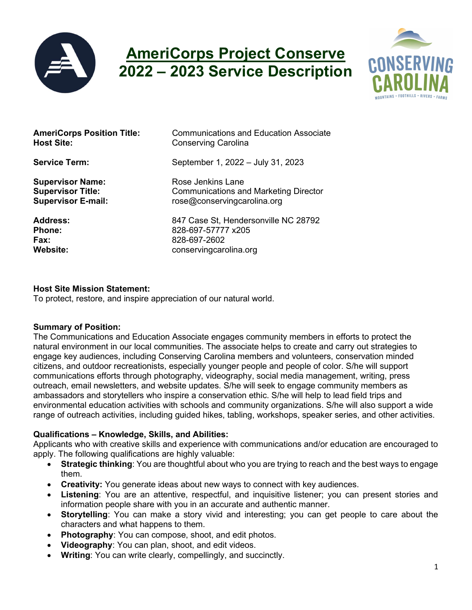

# AmeriCorps Project Conserve 2022 – 2023 Service Description



| <b>AmeriCorps Position Title:</b> | Communications and Education Associate       |
|-----------------------------------|----------------------------------------------|
| <b>Host Site:</b>                 | <b>Conserving Carolina</b>                   |
| <b>Service Term:</b>              | September 1, 2022 - July 31, 2023            |
| <b>Supervisor Name:</b>           | Rose Jenkins Lane                            |
| <b>Supervisor Title:</b>          | <b>Communications and Marketing Director</b> |
| <b>Supervisor E-mail:</b>         | rose@conservingcarolina.org                  |
| <b>Address:</b>                   | 847 Case St, Hendersonville NC 28792         |
| <b>Phone:</b>                     | 828-697-57777 x205                           |
| Fax:                              | 828-697-2602                                 |
| <b>Website:</b>                   | conservingcarolina.org                       |

#### Host Site Mission Statement:

To protect, restore, and inspire appreciation of our natural world.

#### Summary of Position:

The Communications and Education Associate engages community members in efforts to protect the natural environment in our local communities. The associate helps to create and carry out strategies to engage key audiences, including Conserving Carolina members and volunteers, conservation minded citizens, and outdoor recreationists, especially younger people and people of color. S/he will support communications efforts through photography, videography, social media management, writing, press outreach, email newsletters, and website updates. S/he will seek to engage community members as ambassadors and storytellers who inspire a conservation ethic. S/he will help to lead field trips and environmental education activities with schools and community organizations. S/he will also support a wide range of outreach activities, including guided hikes, tabling, workshops, speaker series, and other activities.

## Qualifications – Knowledge, Skills, and Abilities:

Applicants who with creative skills and experience with communications and/or education are encouraged to apply. The following qualifications are highly valuable:

- Strategic thinking: You are thoughtful about who you are trying to reach and the best ways to engage them.
- Creativity: You generate ideas about new ways to connect with key audiences.
- Listening: You are an attentive, respectful, and inquisitive listener; you can present stories and information people share with you in an accurate and authentic manner.
- Storytelling: You can make a story vivid and interesting; you can get people to care about the characters and what happens to them.
- Photography: You can compose, shoot, and edit photos.
- Videography: You can plan, shoot, and edit videos.
- Writing: You can write clearly, compellingly, and succinctly.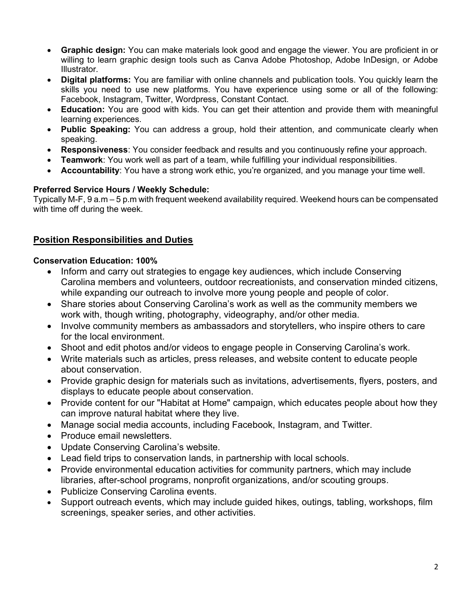- Graphic design: You can make materials look good and engage the viewer. You are proficient in or willing to learn graphic design tools such as Canva Adobe Photoshop, Adobe InDesign, or Adobe **Illustrator**
- Digital platforms: You are familiar with online channels and publication tools. You quickly learn the skills you need to use new platforms. You have experience using some or all of the following: Facebook, Instagram, Twitter, Wordpress, Constant Contact.
- Education: You are good with kids. You can get their attention and provide them with meaningful learning experiences.
- Public Speaking: You can address a group, hold their attention, and communicate clearly when speaking.
- Responsiveness: You consider feedback and results and you continuously refine your approach.
- Teamwork: You work well as part of a team, while fulfilling your individual responsibilities.
- Accountability: You have a strong work ethic, you're organized, and you manage your time well.

## Preferred Service Hours / Weekly Schedule:

Typically M-F, 9 a.m – 5 p.m with frequent weekend availability required. Weekend hours can be compensated with time off during the week.

## Position Responsibilities and Duties

## Conservation Education: 100%

- Inform and carry out strategies to engage key audiences, which include Conserving Carolina members and volunteers, outdoor recreationists, and conservation minded citizens, while expanding our outreach to involve more young people and people of color.
- Share stories about Conserving Carolina's work as well as the community members we work with, though writing, photography, videography, and/or other media.
- Involve community members as ambassadors and storytellers, who inspire others to care for the local environment.
- Shoot and edit photos and/or videos to engage people in Conserving Carolina's work.
- Write materials such as articles, press releases, and website content to educate people about conservation.
- Provide graphic design for materials such as invitations, advertisements, flyers, posters, and displays to educate people about conservation.
- Provide content for our "Habitat at Home" campaign, which educates people about how they can improve natural habitat where they live.
- Manage social media accounts, including Facebook, Instagram, and Twitter.
- Produce email newsletters.
- Update Conserving Carolina's website.
- Lead field trips to conservation lands, in partnership with local schools.
- Provide environmental education activities for community partners, which may include libraries, after-school programs, nonprofit organizations, and/or scouting groups.
- Publicize Conserving Carolina events.
- Support outreach events, which may include guided hikes, outings, tabling, workshops, film screenings, speaker series, and other activities.